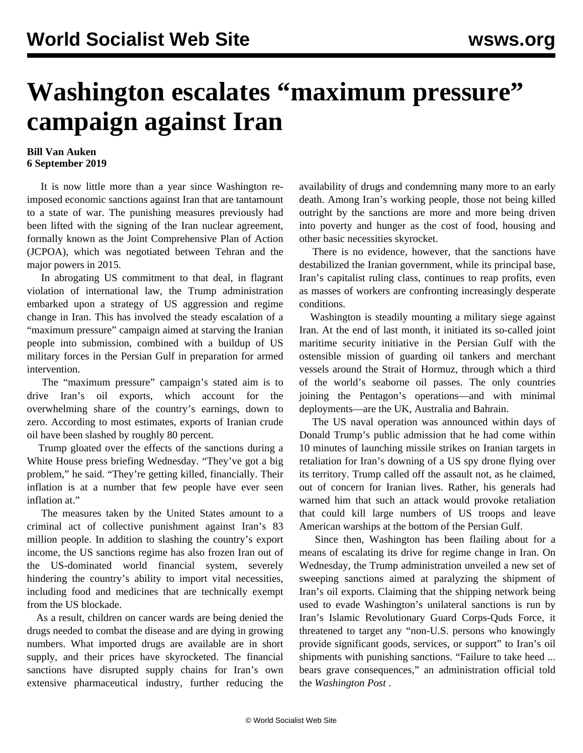## **Washington escalates "maximum pressure" campaign against Iran**

## **Bill Van Auken 6 September 2019**

 It is now little more than a year since Washington reimposed economic sanctions against Iran that are tantamount to a state of war. The punishing measures previously had been lifted with the signing of the Iran nuclear agreement, formally known as the Joint Comprehensive Plan of Action (JCPOA), which was negotiated between Tehran and the major powers in 2015.

 In abrogating US commitment to that deal, in flagrant violation of international law, the Trump administration embarked upon a strategy of US aggression and regime change in Iran. This has involved the steady escalation of a "maximum pressure" campaign aimed at starving the Iranian people into submission, combined with a buildup of US military forces in the Persian Gulf in preparation for armed intervention.

 The "maximum pressure" campaign's stated aim is to drive Iran's oil exports, which account for the overwhelming share of the country's earnings, down to zero. According to most estimates, exports of Iranian crude oil have been slashed by roughly 80 percent.

 Trump gloated over the effects of the sanctions during a White House press briefing Wednesday. "They've got a big problem," he said. "They're getting killed, financially. Their inflation is at a number that few people have ever seen inflation at"

 The measures taken by the United States amount to a criminal act of collective punishment against Iran's 83 million people. In addition to slashing the country's export income, the US sanctions regime has also frozen Iran out of the US-dominated world financial system, severely hindering the country's ability to import vital necessities, including food and medicines that are technically exempt from the US blockade.

 As a result, children on cancer wards are being denied the drugs needed to combat the disease and are dying in growing numbers. What imported drugs are available are in short supply, and their prices have skyrocketed. The financial sanctions have disrupted supply chains for Iran's own extensive pharmaceutical industry, further reducing the availability of drugs and condemning many more to an early death. Among Iran's working people, those not being killed outright by the sanctions are more and more being driven into poverty and hunger as the cost of food, housing and other basic necessities skyrocket.

 There is no evidence, however, that the sanctions have destabilized the Iranian government, while its principal base, Iran's capitalist ruling class, continues to reap profits, even as masses of workers are confronting increasingly desperate conditions.

 Washington is steadily mounting a military siege against Iran. At the end of last month, it initiated its so-called joint maritime security initiative in the Persian Gulf with the ostensible mission of guarding oil tankers and merchant vessels around the Strait of Hormuz, through which a third of the world's seaborne oil passes. The only countries joining the Pentagon's operations—and with minimal deployments—are the UK, Australia and Bahrain.

 The US naval operation was announced within days of Donald Trump's public admission that he had come within 10 minutes of launching missile strikes on Iranian targets in retaliation for Iran's downing of a US spy drone flying over its territory. Trump called off the assault not, as he claimed, out of concern for Iranian lives. Rather, his generals had warned him that such an attack would provoke retaliation that could kill large numbers of US troops and leave American warships at the bottom of the Persian Gulf.

 Since then, Washington has been flailing about for a means of escalating its drive for regime change in Iran. On Wednesday, the Trump administration unveiled a new set of sweeping sanctions aimed at paralyzing the shipment of Iran's oil exports. Claiming that the shipping network being used to evade Washington's unilateral sanctions is run by Iran's Islamic Revolutionary Guard Corps-Quds Force, it threatened to target any "non-U.S. persons who knowingly provide significant goods, services, or support" to Iran's oil shipments with punishing sanctions. "Failure to take heed ... bears grave consequences," an administration official told the *Washington Post* .